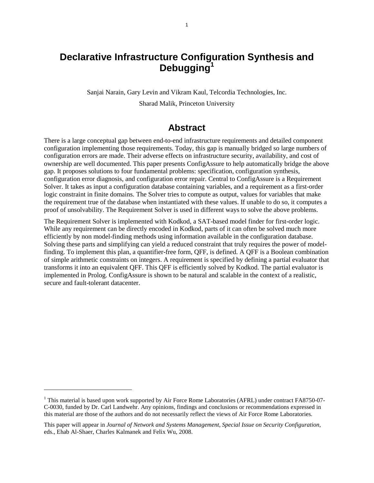# **Declarative Infrastructure Configuration Synthesis and Debugging<sup>1</sup>**

Sanjai Narain, Gary Levin and Vikram Kaul, Telcordia Technologies, Inc.

Sharad Malik, Princeton University

### **Abstract**

There is a large conceptual gap between end-to-end infrastructure requirements and detailed component configuration implementing those requirements. Today, this gap is manually bridged so large numbers of configuration errors are made. Their adverse effects on infrastructure security, availability, and cost of ownership are well documented. This paper presents ConfigAssure to help automatically bridge the above gap. It proposes solutions to four fundamental problems: specification, configuration synthesis, configuration error diagnosis, and configuration error repair. Central to ConfigAssure is a Requirement Solver. It takes as input a configuration database containing variables, and a requirement as a first-order logic constraint in finite domains. The Solver tries to compute as output, values for variables that make the requirement true of the database when instantiated with these values. If unable to do so, it computes a proof of unsolvability. The Requirement Solver is used in different ways to solve the above problems.

The Requirement Solver is implemented with Kodkod, a SAT-based model finder for first-order logic. While any requirement can be directly encoded in Kodkod, parts of it can often be solved much more efficiently by non model-finding methods using information available in the configuration database. Solving these parts and simplifying can yield a reduced constraint that truly requires the power of modelfinding. To implement this plan, a quantifier-free form, QFF, is defined. A QFF is a Boolean combination of simple arithmetic constraints on integers. A requirement is specified by defining a partial evaluator that transforms it into an equivalent QFF. This QFF is efficiently solved by Kodkod. The partial evaluator is implemented in Prolog. ConfigAssure is shown to be natural and scalable in the context of a realistic, secure and fault-tolerant datacenter.

<u>.</u>

<sup>&</sup>lt;sup>1</sup> This material is based upon work supported by Air Force Rome Laboratories (AFRL) under contract FA8750-07-C-0030, funded by Dr. Carl Landwehr. Any opinions, findings and conclusions or recommendations expressed in this material are those of the authors and do not necessarily reflect the views of Air Force Rome Laboratories.

This paper will appear in *Journal of Network and Systems Management, Special Issue on Security Configuration*, eds., Ehab Al-Shaer, Charles Kalmanek and Felix Wu, 2008.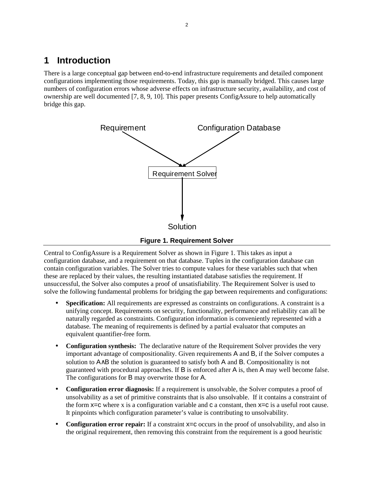# **1 Introduction**

There is a large conceptual gap between end-to-end infrastructure requirements and detailed component configurations implementing those requirements. Today, this gap is manually bridged. This causes large numbers of configuration errors whose adverse effects on infrastructure security, availability, and cost of ownership are well documented [7, 8, 9, 10]. This paper presents ConfigAssure to help automatically bridge this gap.



Central to ConfigAssure is a Requirement Solver as shown in Figure 1. This takes as input a configuration database, and a requirement on that database. Tuples in the configuration database can contain configuration variables. The Solver tries to compute values for these variables such that when these are replaced by their values, the resulting instantiated database satisfies the requirement. If unsuccessful, the Solver also computes a proof of unsatisfiability. The Requirement Solver is used to solve the following fundamental problems for bridging the gap between requirements and configurations:

- **Specification:** All requirements are expressed as constraints on configurations. A constraint is a unifying concept. Requirements on security, functionality, performance and reliability can all be naturally regarded as constraints. Configuration information is conveniently represented with a database. The meaning of requirements is defined by a partial evaluator that computes an equivalent quantifier-free form.
- **Configuration synthesis:** The declarative nature of the Requirement Solver provides the very important advantage of compositionality. Given requirements A and B, if the Solver computes a solution to A∧B the solution is guaranteed to satisfy both A and B. Compositionality is not guaranteed with procedural approaches. If B is enforced after A is, then A may well become false. The configurations for B may overwrite those for A.
- **Configuration error diagnosis:** If a requirement is unsolvable, the Solver computes a proof of unsolvability as a set of primitive constraints that is also unsolvable. If it contains a constraint of the form  $x=c$  where x is a configuration variable and  $c$  a constant, then  $x=c$  is a useful root cause. It pinpoints which configuration parameter's value is contributing to unsolvability.
- **Configuration error repair:** If a constraint **x**=**c** occurs in the proof of unsolvability, and also in the original requirement, then removing this constraint from the requirement is a good heuristic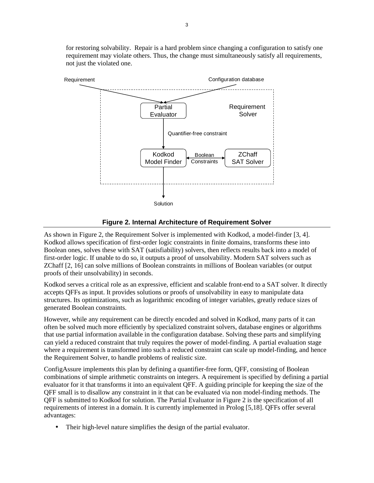for restoring solvability. Repair is a hard problem since changing a configuration to satisfy one requirement may violate others. Thus, the change must simultaneously satisfy all requirements, not just the violated one.



#### **Figure 2. Internal Architecture of Requirement Solver**

As shown in Figure 2, the Requirement Solver is implemented with Kodkod, a model-finder [3, 4]. Kodkod allows specification of first-order logic constraints in finite domains, transforms these into Boolean ones, solves these with SAT (satisfiability) solvers, then reflects results back into a model of first-order logic. If unable to do so, it outputs a proof of unsolvability. Modern SAT solvers such as ZChaff [2, 16] can solve millions of Boolean constraints in millions of Boolean variables (or output proofs of their unsolvability) in seconds.

Kodkod serves a critical role as an expressive, efficient and scalable front-end to a SAT solver. It directly accepts QFFs as input. It provides solutions or proofs of unsolvability in easy to manipulate data structures. Its optimizations, such as logarithmic encoding of integer variables, greatly reduce sizes of generated Boolean constraints.

However, while any requirement can be directly encoded and solved in Kodkod, many parts of it can often be solved much more efficiently by specialized constraint solvers, database engines or algorithms that use partial information available in the configuration database. Solving these parts and simplifying can yield a reduced constraint that truly requires the power of model-finding. A partial evaluation stage where a requirement is transformed into such a reduced constraint can scale up model-finding, and hence the Requirement Solver, to handle problems of realistic size.

ConfigAssure implements this plan by defining a quantifier-free form, QFF, consisting of Boolean combinations of simple arithmetic constraints on integers. A requirement is specified by defining a partial evaluator for it that transforms it into an equivalent QFF. A guiding principle for keeping the size of the QFF small is to disallow any constraint in it that can be evaluated via non model-finding methods. The QFF is submitted to Kodkod for solution. The Partial Evaluator in Figure 2 is the specification of all requirements of interest in a domain. It is currently implemented in Prolog [5,18]. QFFs offer several advantages:

Their high-level nature simplifies the design of the partial evaluator.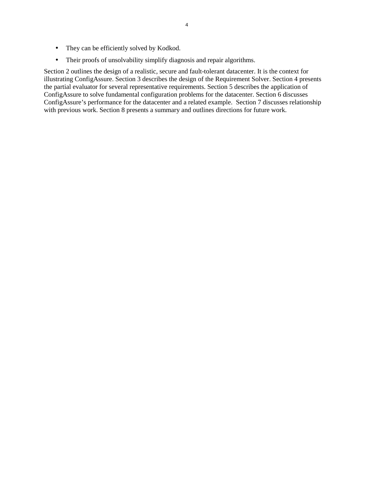• Their proofs of unsolvability simplify diagnosis and repair algorithms.

Section 2 outlines the design of a realistic, secure and fault-tolerant datacenter. It is the context for illustrating ConfigAssure. Section 3 describes the design of the Requirement Solver. Section 4 presents the partial evaluator for several representative requirements. Section 5 describes the application of ConfigAssure to solve fundamental configuration problems for the datacenter. Section 6 discusses ConfigAssure's performance for the datacenter and a related example. Section 7 discusses relationship with previous work. Section 8 presents a summary and outlines directions for future work.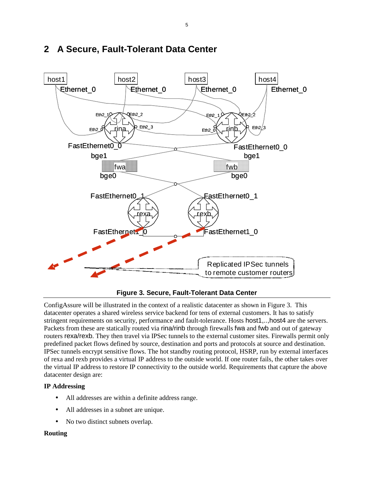

# **2 A Secure, Fault-Tolerant Data Center**

**Figure 3. Secure, Fault-Tolerant Data Center** 

ConfigAssure will be illustrated in the context of a realistic datacenter as shown in Figure 3. This datacenter operates a shared wireless service backend for tens of external customers. It has to satisfy stringent requirements on security, performance and fault-tolerance. Hosts host1,..,host4 are the servers. Packets from these are statically routed via rina/rinb through firewalls fwa and fwb and out of gateway routers rexa/rexb. They then travel via IPSec tunnels to the external customer sites. Firewalls permit only predefined packet flows defined by source, destination and ports and protocols at source and destination. IPSec tunnels encrypt sensitive flows. The hot standby routing protocol, HSRP, run by external interfaces of rexa and rexb provides a virtual IP address to the outside world. If one router fails, the other takes over the virtual IP address to restore IP connectivity to the outside world. Requirements that capture the above datacenter design are:

#### **IP Addressing**

- All addresses are within a definite address range.
- All addresses in a subnet are unique.
- No two distinct subnets overlap.

#### **Routing**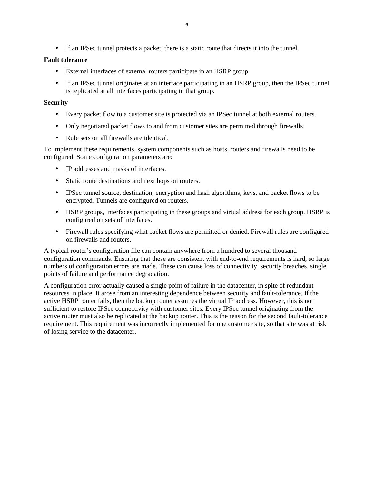• If an IPSec tunnel protects a packet, there is a static route that directs it into the tunnel.

#### **Fault tolerance**

- External interfaces of external routers participate in an HSRP group
- If an IPSec tunnel originates at an interface participating in an HSRP group, then the IPSec tunnel is replicated at all interfaces participating in that group.

#### **Security**

- Every packet flow to a customer site is protected via an IPSec tunnel at both external routers.
- Only negotiated packet flows to and from customer sites are permitted through firewalls.
- Rule sets on all firewalls are identical.

To implement these requirements, system components such as hosts, routers and firewalls need to be configured. Some configuration parameters are:

- IP addresses and masks of interfaces.
- Static route destinations and next hops on routers.
- IPSec tunnel source, destination, encryption and hash algorithms, keys, and packet flows to be encrypted. Tunnels are configured on routers.
- HSRP groups, interfaces participating in these groups and virtual address for each group. HSRP is configured on sets of interfaces.
- Firewall rules specifying what packet flows are permitted or denied. Firewall rules are configured on firewalls and routers.

A typical router's configuration file can contain anywhere from a hundred to several thousand configuration commands. Ensuring that these are consistent with end-to-end requirements is hard, so large numbers of configuration errors are made. These can cause loss of connectivity, security breaches, single points of failure and performance degradation.

A configuration error actually caused a single point of failure in the datacenter, in spite of redundant resources in place. It arose from an interesting dependence between security and fault-tolerance. If the active HSRP router fails, then the backup router assumes the virtual IP address. However, this is not sufficient to restore IPSec connectivity with customer sites. Every IPSec tunnel originating from the active router must also be replicated at the backup router. This is the reason for the second fault-tolerance requirement. This requirement was incorrectly implemented for one customer site, so that site was at risk of losing service to the datacenter.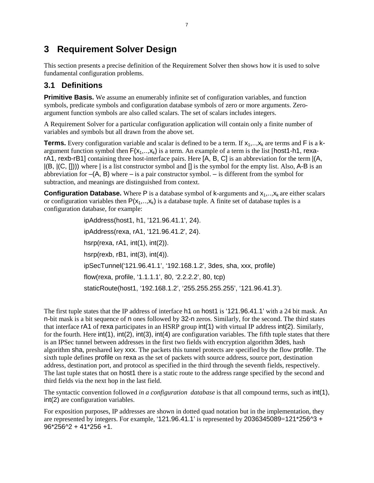# **3 Requirement Solver Design**

This section presents a precise definition of the Requirement Solver then shows how it is used to solve fundamental configuration problems.

### **3.1 Definitions**

**Primitive Basis.** We assume an enumerably infinite set of configuration variables, and function symbols, predicate symbols and configuration database symbols of zero or more arguments. Zeroargument function symbols are also called scalars. The set of scalars includes integers.

A Requirement Solver for a particular configuration application will contain only a finite number of variables and symbols but all drawn from the above set.

**Terms.** Every configuration variable and scalar is defined to be a term. If  $x_1, \ldots, x_k$  are terms and F is a kargument function symbol then  $F(x_1, \ldots, x_k)$  is a term. An example of a term is the list [host1-h1, rexarA1, rexb-rB1] containing three host-interface pairs. Here [A, B, C] is an abbreviation for the term |(A,  $|(B, |(C, []))$ ) where | is a list constructor symbol and  $[]$  is the symbol for the empty list. Also, A-B is an abbreviation for  $-(A, B)$  where – is a pair constructor symbol. – is different from the symbol for subtraction, and meanings are distinguished from context.

**Configuration Database.** Where  $P$  is a database symbol of  $k$ -arguments and  $x_1, \ldots, x_k$  are either scalars or configuration variables then  $P(x_1, \ldots, x_k)$  is a database tuple. A finite set of database tuples is a configuration database, for example:

> ipAddress(host1, h1, '121.96.41.1', 24). ipAddress(rexa, rA1, '121.96.41.2', 24). hsrp(rexa,  $rA1$ ,  $int(1)$ ,  $int(2)$ ). hsrp(rexb,  $rB1$ ,  $int(3)$ ,  $int(4)$ ). ipSecTunnel('121.96.41.1', '192.168.1.2', 3des, sha, xxx, profile) flow(rexa, profile, '1.1.1.1', 80, '2.2.2.2', 80, tcp) staticRoute(host1, '192.168.1.2', '255.255.255.255', '121.96.41.3').

The first tuple states that the IP address of interface h1 on host1 is '121.96.41.1' with a 24 bit mask. An n-bit mask is a bit sequence of n ones followed by 32-n zeros. Similarly, for the second. The third states that interface rA1 of rexa participates in an HSRP group int(1) with virtual IP address int(2). Similarly, for the fourth. Here  $int(1)$ ,  $int(2)$ ,  $int(3)$ ,  $int(4)$  are configuration variables. The fifth tuple states that there is an IPSec tunnel between addresses in the first two fields with encryption algorithm 3des, hash algorithm sha, preshared key xxx. The packets this tunnel protects are specified by the flow profile. The sixth tuple defines profile on rexa as the set of packets with source address, source port, destination address, destination port, and protocol as specified in the third through the seventh fields, respectively. The last tuple states that on host1 there is a static route to the address range specified by the second and third fields via the next hop in the last field.

The syntactic convention followed *in a configuration database* is that all compound terms, such as int(1), int(2) are configuration variables.

For exposition purposes, IP addresses are shown in dotted quad notation but in the implementation, they are represented by integers. For example, '121.96.41.1' is represented by 2036345089=121\*256^3 + 96\*256^2 + 41\*256 +1.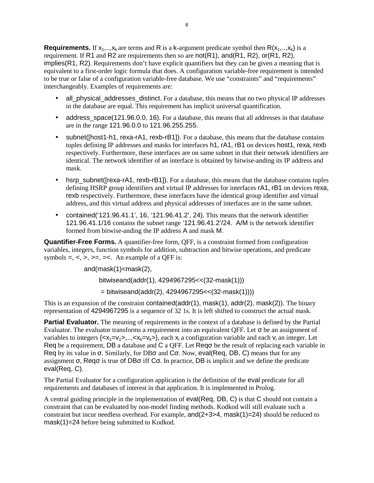**Requirements.** If  $x_1, \ldots, x_k$  are terms and R is a k-argument predicate symbol then  $R(x_1, \ldots, x_k)$  is a requirement. If R1 and R2 are requirements then so are not(R1), and(R1, R2), or(R1, R2), implies(R1, R2). Requirements don't have explicit quantifiers but they can be given a meaning that is equivalent to a first-order logic formula that does. A configuration variable-free requirement is intended to be true or false of a configuration variable-free database. We use "constraints" and "requirements" interchangeably. Examples of requirements are:

- all\_physical\_addresses\_distinct. For a database, this means that no two physical IP addresses in the database are equal. This requirement has implicit universal quantification.
- address\_space(121.96.0.0, 16). For a database, this means that all addresses in that database are in the range 121.96.0.0 to 121.96.255.255.
- subnet([host1-h1, rexa-rA1, rexb-rB1]). For a database, this means that the database contains tuples defining IP addresses and masks for interfaces h1, rA1, rB1 on devices host1, rexa, rexb respectively. Furthermore, these interfaces are on same subnet in that their network identifiers are identical. The network identifier of an interface is obtained by bitwise-anding its IP address and mask.
- hsrp\_subnet([rexa-rA1, rexb-rB1]). For a database, this means that the database contains tuples defining HSRP group identifiers and virtual IP addresses for interfaces rA1, rB1 on devices rexa, rexb respectively. Furthermore, these interfaces have the identical group identifier and virtual address, and this virtual address and physical addresses of interfaces are in the same subnet.
- contained $('121.96.41.1', 16, '121.96.41.2', 24)$ . This means that the network identifier 121.96.41.1/16 contains the subnet range '121.96.41.2'/24. A/M is the network identifier formed from bitwise-anding the IP address A and mask M.

**Quantifier-Free Forms.** A quantifier-free form, QFF, is a constraint formed from configuration variables, integers, function symbols for addition, subtraction and bitwise operations, and predicate symbols =,  $\leq$ ,  $\geq$ ,  $\geq$ =,  $=\leq$ . An example of a QFF is:

> and(mask(1)<mask(2), bitwiseand(addr(1), 4294967295<<(32-mask(1)))  $=$  bitwiseand(addr(2), 4294967295 << (32-mask(1))))

This is an expansion of the constraint contained( $addr(1)$ , mask(1),  $addr(2)$ , mask(2)). The binary representation of 4294967295 is a sequence of 32 1s. It is left shifted to construct the actual mask.

**Partial Evaluator.** The meaning of requirements in the context of a database is defined by the Partial Evaluator. The evaluator transforms a requirement into an equivalent QFF. Let  $\sigma$  be an assignment of variables to integers  $\{\langle x_1 = v_1, ..., \langle x_k = v_k \rangle\}$ , each  $x_i$  a configuration variable and each  $v_i$  an integer. Let Req be a requirement, DB a database and C a QFF. Let Reqσ be the result of replacing each variable in Req by its value in σ. Similarly, for DBσ and Cσ. Now, eval(Req, DB, C) means that for any assignment  $\sigma$ , Req $\sigma$  is true of DB $\sigma$  iff C $\sigma$ . In practice, DB is implicit and we define the predicate eval(Req, C).

The Partial Evaluator for a configuration application is the definition of the eval predicate for all requirements and databases of interest in that application. It is implemented in Prolog.

A central guiding principle in the implementation of eval(Req, DB, C) is that C should not contain a constraint that can be evaluated by non-model finding methods. Kodkod will still evaluate such a constraint but incur needless overhead. For example,  $and(2+3>4, mask(1)=24)$  should be reduced to mask(1)=24 before being submitted to Kodkod.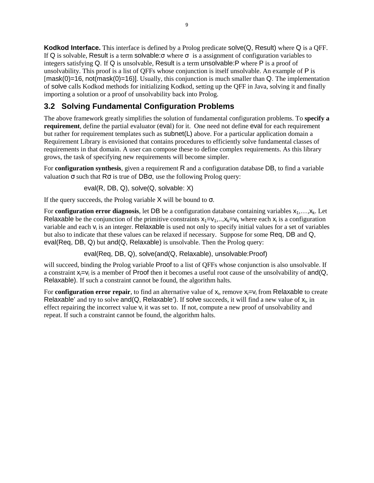**Kodkod Interface.** This interface is defined by a Prolog predicate solve(Q, Result) where Q is a QFF. If Q is solvable, Result is a term solvable: $\sigma$  where  $\sigma$  is a assignment of configuration variables to integers satisfying Q. If Q is unsolvable, Result is a term unsolvable:P where P is a proof of unsolvability. This proof is a list of QFFs whose conjunction is itself unsolvable. An example of P is  $[mask(0)=16, not(mask(0)=16)]$ . Usually, this conjunction is much smaller than Q. The implementation of solve calls Kodkod methods for initializing Kodkod, setting up the QFF in Java, solving it and finally importing a solution or a proof of unsolvability back into Prolog.

# **3.2 Solving Fundamental Configuration Problems**

The above framework greatly simplifies the solution of fundamental configuration problems. To **specify a requirement**, define the partial evaluator (eval) for it. One need not define eval for each requirement but rather for requirement templates such as subnet(L) above. For a particular application domain a Requirement Library is envisioned that contains procedures to efficiently solve fundamental classes of requirements in that domain. A user can compose these to define complex requirements. As this library grows, the task of specifying new requirements will become simpler.

For **configuration synthesis**, given a requirement R and a configuration database DB, to find a variable valuation σ such that Rσ is true of DBσ, use the following Prolog query:

eval(R, DB, Q), solve(Q, solvable: X)

If the query succeeds, the Prolog variable X will be bound to  $\sigma$ .

For **configuration error diagnosis**, let DB be a configuration database containing variables  $x_1, \ldots, x_k$ . Let Relaxable be the conjunction of the primitive constraints  $x_1 = v_1, \ldots, x_k = v_k$  where each  $x_i$  is a configuration variable and each  $v_i$  is an integer. Relaxable is used not only to specify initial values for a set of variables but also to indicate that these values can be relaxed if necessary. Suppose for some Req, DB and Q, eval(Req, DB, Q) but and(Q, Relaxable) is unsolvable. Then the Prolog query:

eval(Req, DB, Q), solve(and(Q, Relaxable), unsolvable:Proof)

will succeed, binding the Prolog variable Proof to a list of QFFs whose conjunction is also unsolvable. If a constraint  $x_i = v_i$  is a member of Proof then it becomes a useful root cause of the unsolvability of and(Q, Relaxable). If such a constraint cannot be found, the algorithm halts.

For **configuration error repair**, to find an alternative value of  $x_i$ , remove  $x_i = v_i$  from Relaxable to create Relaxable' and try to solve and  $(Q, Relaxable')$ . If solve succeeds, it will find a new value of  $x_i$ , in effect repairing the incorrect value  $v_i$  it was set to. If not, compute a new proof of unsolvability and repeat. If such a constraint cannot be found, the algorithm halts.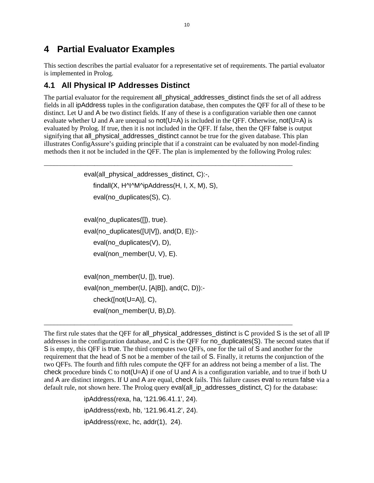# **4 Partial Evaluator Examples**

This section describes the partial evaluator for a representative set of requirements. The partial evaluator is implemented in Prolog.

## **4.1 All Physical IP Addresses Distinct**

The partial evaluator for the requirement all\_physical\_addresses\_distinct finds the set of all address fields in all ipAddress tuples in the configuration database, then computes the QFF for all of these to be distinct. Let U and A be two distinct fields. If any of these is a configuration variable then one cannot evaluate whether U and A are unequal so  $not(U=A)$  is included in the QFF. Otherwise,  $not(U=A)$  is evaluated by Prolog. If true, then it is not included in the QFF. If false, then the QFF false is output signifying that all physical addresses distinct cannot be true for the given database. This plan illustrates ConfigAssure's guiding principle that if a constraint can be evaluated by non model-finding methods then it not be included in the QFF. The plan is implemented by the following Prolog rules:

\_\_\_\_\_\_\_\_\_\_\_\_\_\_\_\_\_\_\_\_\_\_\_\_\_\_\_\_\_\_\_\_\_\_\_\_\_\_\_\_\_\_\_\_\_\_\_\_\_\_\_\_\_\_\_\_\_\_\_\_\_\_\_\_\_\_\_\_\_\_\_\_\_\_

```
eval(all_physical_addresses_distinct, C):-, 
    findall(X, H^I^M^ipAddress(H, I, X, M), S), 
    eval(no_duplicates(S), C). 
eval(no_duplicates([]), true). 
eval(no_duplicates([U|V]), and(D, E)):- 
   eval(no_duplicates(V), D),
   eval(non_member(U, V), E).
eval(non_member(U, []), true).
eval(non_member(U, [A|B]), and(C, D)):-
```
check([not(U=A)], C),

eval(non\_member(U, B),D).

The first rule states that the QFF for all physical addresses distinct is C provided S is the set of all IP addresses in the configuration database, and C is the QFF for no\_duplicates(S). The second states that if S is empty, this QFF is true. The third computes two QFFs, one for the tail of S and another for the requirement that the head of S not be a member of the tail of S. Finally, it returns the conjunction of the two QFFs. The fourth and fifth rules compute the QFF for an address not being a member of a list. The check procedure binds C to not( $U=A$ ) if one of U and A is a configuration variable, and to true if both U and A are distinct integers. If U and A are equal, check fails. This failure causes eval to return false via a default rule, not shown here. The Prolog query eval(all ip addresses distinct, C) for the database:

\_\_\_\_\_\_\_\_\_\_\_\_\_\_\_\_\_\_\_\_\_\_\_\_\_\_\_\_\_\_\_\_\_\_\_\_\_\_\_\_\_\_\_\_\_\_\_\_\_\_\_\_\_\_\_\_\_\_\_\_\_\_\_\_\_\_\_\_\_\_\_\_\_\_

ipAddress(rexa, ha, '121.96.41.1', 24). ipAddress(rexb, hb, '121.96.41.2', 24). ipAddress(rexc, hc, addr(1), 24).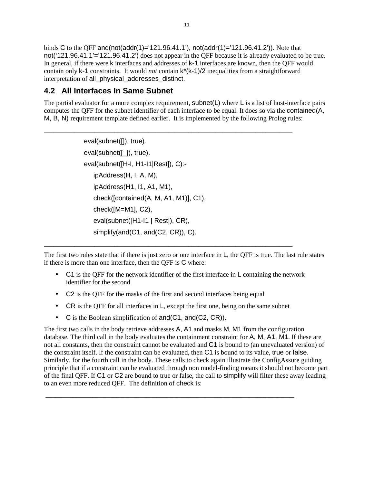binds C to the OFF and (not  $(\text{addr}(1)=121.96.41.1')$ , not  $(\text{addr}(1)=121.96.41.2'))$ . Note that not('121.96.41.1'='121.96.41.2') does not appear in the QFF because it is already evaluated to be true. In general, if there were k interfaces and addresses of k-1 interfaces are known, then the QFF would contain only k-1 constraints. It would *not* contain k\*(k-1)/2 inequalities from a straightforward interpretation of all physical addresses distinct.

### **4.2 All Interfaces In Same Subnet**

The partial evaluator for a more complex requirement, subnet $(L)$  where L is a list of host-interface pairs computes the QFF for the subnet identifier of each interface to be equal. It does so via the contained(A, M, B, N) requirement template defined earlier. It is implemented by the following Prolog rules:

\_\_\_\_\_\_\_\_\_\_\_\_\_\_\_\_\_\_\_\_\_\_\_\_\_\_\_\_\_\_\_\_\_\_\_\_\_\_\_\_\_\_\_\_\_\_\_\_\_\_\_\_\_\_\_\_\_\_\_\_\_\_\_\_\_\_\_\_\_\_\_\_\_\_

eval(subnet([]), true). eval(subnet([\_]), true). eval(subnet([H-I, H1-I1|Rest]), C): ipAddress(H, I, A, M), ipAddress(H1, I1, A1, M1), check([contained(A, M, A1, M1)], C1), check([M=M1], C2), eval(subnet([H1-I1 | Rest]), CR), simplify(and(C1, and(C2, CR)), C).

The first two rules state that if there is just zero or one interface in L, the QFF is true. The last rule states if there is more than one interface, then the QFF is C where:

- C1 is the QFF for the network identifier of the first interface in L containing the network identifier for the second.
- C2 is the QFF for the masks of the first and second interfaces being equal
- CR is the QFF for all interfaces in L, except the first one, being on the same subnet

\_\_\_\_\_\_\_\_\_\_\_\_\_\_\_\_\_\_\_\_\_\_\_\_\_\_\_\_\_\_\_\_\_\_\_\_\_\_\_\_\_\_\_\_\_\_\_\_\_\_\_\_\_\_\_\_\_\_\_\_\_\_\_\_\_\_\_\_\_\_\_\_\_\_

\_\_\_\_\_\_\_\_\_\_\_\_\_\_\_\_\_\_\_\_\_\_\_\_\_\_\_\_\_\_\_\_\_\_\_\_\_\_\_\_\_\_\_\_\_\_\_\_\_\_\_\_\_\_\_\_\_\_\_\_\_\_\_\_\_\_\_\_\_\_\_\_\_\_

• C is the Boolean simplification of and (C1, and (C2, CR)).

The first two calls in the body retrieve addresses A, A1 and masks M, M1 from the configuration database. The third call in the body evaluates the containment constraint for A, M, A1, M1. If these are not all constants, then the constraint cannot be evaluated and C1 is bound to (an unevaluated version) of the constraint itself. If the constraint can be evaluated, then C1 is bound to its value, true or false. Similarly, for the fourth call in the body. These calls to check again illustrate the ConfigAssure guiding principle that if a constraint can be evaluated through non model-finding means it should not become part of the final QFF. If C1 or C2 are bound to true or false, the call to simplify will filter these away leading to an even more reduced QFF. The definition of check is: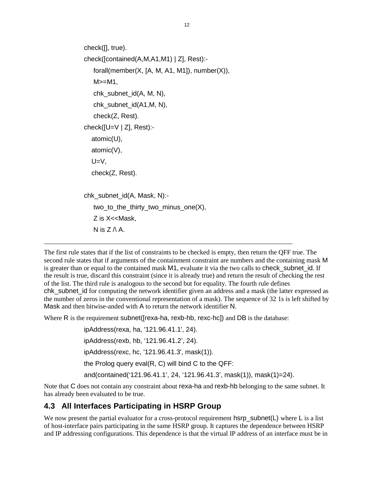```
check([], true). 
check([contained(A,M,A1,M1) | Z], Rest):- 
    forall(member(X, [A, M, A1, M1]), number(X)), 
   M>=M1.
   chk subnet id(A, M, N),
   chk subnet id(A1,M, N),
    check(Z, Rest). 
check([U=V | Z], Rest):- 
   atomic(U), 
   atomic(V), 
   U=V, 
   check(Z, Rest). 
chk subnet id(A, Mask, N):-
    two_to_the_thirty_two_minus_one(X), 
    Z is X<<Mask, 
   N is Z \wedge A.
```
The first rule states that if the list of constraints to be checked is empty, then return the QFF true. The second rule states that if arguments of the containment constraint are numbers and the containing mask M is greater than or equal to the contained mask M1, evaluate it via the two calls to check\_subnet\_id. If the result is true, discard this constraint (since it is already true) and return the result of checking the rest of the list. The third rule is analogous to the second but for equality. The fourth rule defines chk subnet id for computing the network identifier given an address and a mask (the latter expressed as the number of zeros in the conventional representation of a mask). The sequence of 32 1s is left shifted by Mask and then bitwise-anded with A to return the network identifier N.

Where R is the requirement subnet([rexa-ha, rexb-hb, rexc-hc]) and DB is the database:

\_\_\_\_\_\_\_\_\_\_\_\_\_\_\_\_\_\_\_\_\_\_\_\_\_\_\_\_\_\_\_\_\_\_\_\_\_\_\_\_\_\_\_\_\_\_\_\_\_\_\_\_\_\_\_\_\_\_\_\_\_\_\_\_\_\_\_\_\_\_\_\_\_\_

ipAddress(rexa, ha, '121.96.41.1', 24). ipAddress(rexb, hb, '121.96.41.2', 24). ipAddress(rexc, hc, '121.96.41.3', mask(1)). the Prolog query eval(R, C) will bind C to the QFF: and(contained('121.96.41.1', 24, '121.96.41.3', mask(1)), mask(1)=24).

Note that C does not contain any constraint about rexa-ha and rexb-hb belonging to the same subnet. It has already been evaluated to be true.

### **4.3 All Interfaces Participating in HSRP Group**

We now present the partial evaluator for a cross-protocol requirement hsrp  $\mathsf{subnet}(\mathsf{L})$  where L is a list of host-interface pairs participating in the same HSRP group. It captures the dependence between HSRP and IP addressing configurations. This dependence is that the virtual IP address of an interface must be in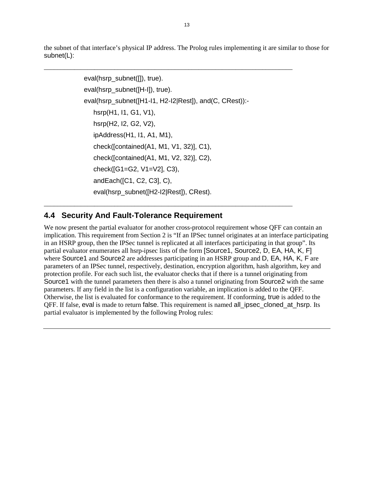the subnet of that interface's physical IP address. The Prolog rules implementing it are similar to those for subnet(L):

```
eval(hsrp_subnet([]), true).
eval(hsrp_subnet([H-I]), true).
eval(hsrp_subnet([H1-I1, H2-I2|Rest]), and(C, CRest)):-
    hsrp(H1, I1, G1, V1), 
    hsrp(H2, I2, G2, V2), 
    ipAddress(H1, I1, A1, M1), 
    check([contained(A1, M1, V1, 32)], C1), 
    check([contained(A1, M1, V2, 32)], C2), 
    check([G1=G2, V1=V2], C3), 
    andEach([C1, C2, C3], C), 
   eval(hsrp_subnet([H2-I2|Rest]), CRest).
```
\_\_\_\_\_\_\_\_\_\_\_\_\_\_\_\_\_\_\_\_\_\_\_\_\_\_\_\_\_\_\_\_\_\_\_\_\_\_\_\_\_\_\_\_\_\_\_\_\_\_\_\_\_\_\_\_\_\_\_\_\_\_\_\_\_\_\_\_\_\_\_\_\_\_

\_\_\_\_\_\_\_\_\_\_\_\_\_\_\_\_\_\_\_\_\_\_\_\_\_\_\_\_\_\_\_\_\_\_\_\_\_\_\_\_\_\_\_\_\_\_\_\_\_\_\_\_\_\_\_\_\_\_\_\_\_\_\_\_\_\_\_\_\_\_\_\_\_\_

### **4.4 Security And Fault-Tolerance Requirement**

We now present the partial evaluator for another cross-protocol requirement whose QFF can contain an implication. This requirement from Section 2 is "If an IPSec tunnel originates at an interface participating in an HSRP group, then the IPSec tunnel is replicated at all interfaces participating in that group". Its partial evaluator enumerates all hsrp-ipsec lists of the form [Source1, Source2, D, EA, HA, K, F] where Source1 and Source2 are addresses participating in an HSRP group and D, EA, HA, K, F are parameters of an IPSec tunnel, respectively, destination, encryption algorithm, hash algorithm, key and protection profile. For each such list, the evaluator checks that if there is a tunnel originating from Source1 with the tunnel parameters then there is also a tunnel originating from Source2 with the same parameters. If any field in the list is a configuration variable, an implication is added to the QFF. Otherwise, the list is evaluated for conformance to the requirement. If conforming, true is added to the QFF. If false, eval is made to return false. This requirement is named all ipsec cloned at hsrp. Its partial evaluator is implemented by the following Prolog rules: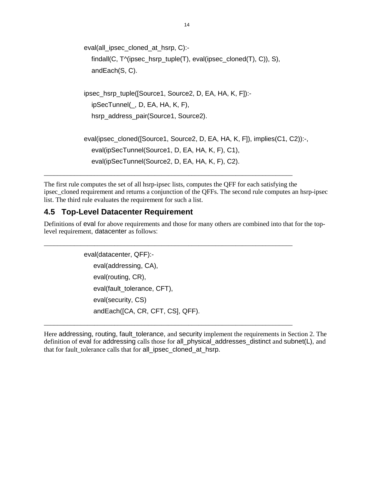```
eval(all_ipsec_cloned_at_hsrp, C):- 
   findall(C, T^(ipsec_hsrp_tuple(T), eval(ipsec_cloned(T), C)), S), 
   andEach(S, C). 
ipsec_hsrp_tuple([Source1, Source2, D, EA, HA, K, F]):- 
   ipSecTunnel(_, D, EA, HA, K, F), 
   hsrp_address_pair(Source1, Source2). 
eval(ipsec_cloned([Source1, Source2, D, EA, HA, K, F]), implies(C1, C2)):-, 
   eval(ipSecTunnel(Source1, D, EA, HA, K, F), C1), 
   eval(ipSecTunnel(Source2, D, EA, HA, K, F), C2).
```
The first rule computes the set of all hsrp-ipsec lists, computes the QFF for each satisfying the ipsec\_cloned requirement and returns a conjunction of the QFFs. The second rule computes an hsrp-ipsec list. The third rule evaluates the requirement for such a list.

\_\_\_\_\_\_\_\_\_\_\_\_\_\_\_\_\_\_\_\_\_\_\_\_\_\_\_\_\_\_\_\_\_\_\_\_\_\_\_\_\_\_\_\_\_\_\_\_\_\_\_\_\_\_\_\_\_\_\_\_\_\_\_\_\_\_\_\_\_\_\_\_\_\_

\_\_\_\_\_\_\_\_\_\_\_\_\_\_\_\_\_\_\_\_\_\_\_\_\_\_\_\_\_\_\_\_\_\_\_\_\_\_\_\_\_\_\_\_\_\_\_\_\_\_\_\_\_\_\_\_\_\_\_\_\_\_\_\_\_\_\_\_\_\_\_\_\_\_

\_\_\_\_\_\_\_\_\_\_\_\_\_\_\_\_\_\_\_\_\_\_\_\_\_\_\_\_\_\_\_\_\_\_\_\_\_\_\_\_\_\_\_\_\_\_\_\_\_\_\_\_\_\_\_\_\_\_\_\_\_\_\_\_\_\_\_\_\_\_\_\_\_\_

### **4.5 Top-Level Datacenter Requirement**

Definitions of eval for above requirements and those for many others are combined into that for the toplevel requirement, datacenter as follows:

> eval(datacenter, QFF): eval(addressing, CA), eval(routing, CR), eval(fault\_tolerance, CFT), eval(security, CS) andEach([CA, CR, CFT, CS], QFF).

Here addressing, routing, fault\_tolerance, and security implement the requirements in Section 2. The definition of eval for addressing calls those for all\_physical\_addresses\_distinct and subnet(L), and that for fault tolerance calls that for all ipsec cloned at hsrp.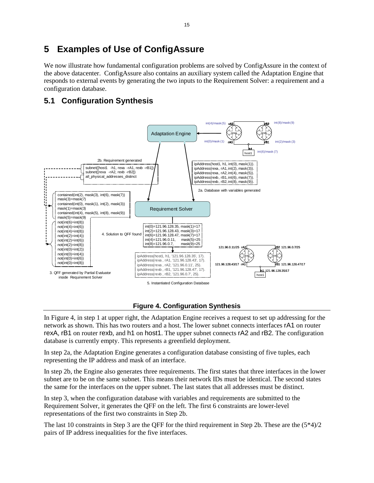# **5 Examples of Use of ConfigAssure**

We now illustrate how fundamental configuration problems are solved by ConfigAssure in the context of the above datacenter. ConfigAssure also contains an auxiliary system called the Adaptation Engine that responds to external events by generating the two inputs to the Requirement Solver: a requirement and a configuration database.

## **5.1 Configuration Synthesis**





In Figure 4, in step 1 at upper right, the Adaptation Engine receives a request to set up addressing for the network as shown. This has two routers and a host. The lower subnet connects interfaces rA1 on router rexA, rB1 on router rexb, and h1 on host1. The upper subnet connects rA2 and rB2. The configuration database is currently empty. This represents a greenfield deployment.

In step 2a, the Adaptation Engine generates a configuration database consisting of five tuples, each representing the IP address and mask of an interface.

In step 2b, the Engine also generates three requirements. The first states that three interfaces in the lower subnet are to be on the same subnet. This means their network IDs must be identical. The second states the same for the interfaces on the upper subnet. The last states that all addresses must be distinct.

In step 3, when the configuration database with variables and requirements are submitted to the Requirement Solver, it generates the QFF on the left. The first 6 constraints are lower-level representations of the first two constraints in Step 2b.

The last 10 constraints in Step 3 are the QFF for the third requirement in Step 2b. These are the (5\*4)/2 pairs of IP address inequalities for the five interfaces.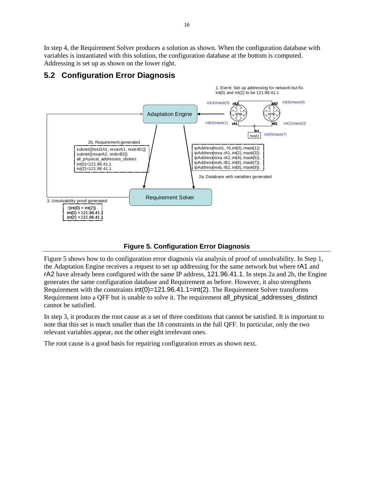In step 4, the Requirement Solver produces a solution as shown. When the configuration database with variables is instantiated with this solution, the configuration database at the bottom is computed. Addressing is set up as shown on the lower right.

## **5.2 Configuration Error Diagnosis**





Figure 5 shows how to do configuration error diagnosis via analysis of proof of unsolvability. In Step 1, the Adaptation Engine receives a request to set up addressing for the same network but where rA1 and rA2 have already been configured with the same IP address, 121.96.41.1. In steps 2a and 2b, the Engine generates the same configuration database and Requirement as before. However, it also strengthens Requirement with the constraints  $int(0)=121.96.41.1=int(2)$ . The Requirement Solver transforms Requirement into a QFF but is unable to solve it. The requirement all\_physical\_addresses\_distinct cannot be satisfied.

In step 3, it produces the root cause as a set of three conditions that cannot be satisfied. It is important to note that this set is much smaller than the 18 constraints in the full QFF. In particular, only the two relevant variables appear, not the other eight irrelevant ones.

The root cause is a good basis for repairing configuration errors as shown next.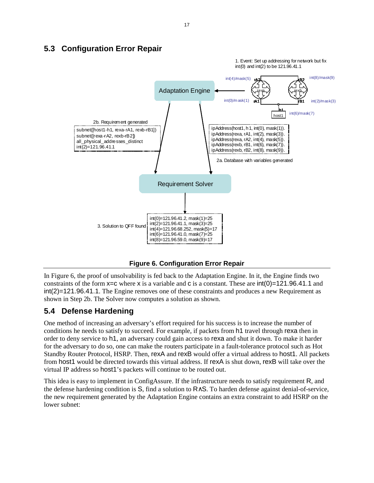

### **5.3 Configuration Error Repair**

**Figure 6. Configuration Error Repair** 

In Figure 6, the proof of unsolvability is fed back to the Adaptation Engine. In it, the Engine finds two constraints of the form  $x=c$  where x is a variable and c is a constant. These are  $int(0)=121.96.41.1$  and int(2)=121.96.41.1. The Engine removes one of these constraints and produces a new Requirement as shown in Step 2b. The Solver now computes a solution as shown.

### **5.4 Defense Hardening**

One method of increasing an adversary's effort required for his success is to increase the number of conditions he needs to satisfy to succeed. For example, if packets from h1 travel through rexa then in order to deny service to h1, an adversary could gain access to rexa and shut it down. To make it harder for the adversary to do so, one can make the routers participate in a fault-tolerance protocol such as Hot Standby Router Protocol, HSRP. Then, rexA and rexB would offer a virtual address to host1. All packets from host1 would be directed towards this virtual address. If rexA is shut down, rexB will take over the virtual IP address so host1's packets will continue to be routed out.

This idea is easy to implement in ConfigAssure. If the infrastructure needs to satisfy requirement R, and the defense hardening condition is S, find a solution to R∧S. To harden defense against denial-of-service, the new requirement generated by the Adaptation Engine contains an extra constraint to add HSRP on the lower subnet: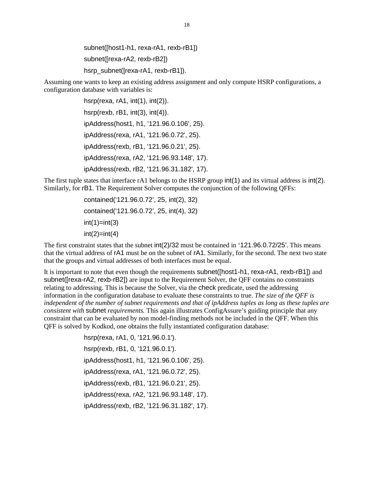subnet([host1-h1, rexa-rA1, rexb-rB1]) subnet([rexa-rA2, rexb-rB2]) hsrp\_subnet([rexa-rA1, rexb-rB1]).

Assuming one wants to keep an existing address assignment and only compute HSRP configurations, a configuration database with variables is:

> hsrp(rexa,  $rA1$ ,  $int(1)$ ,  $int(2)$ ). hsrp(rexb,  $rB1$ ,  $int(3)$ ,  $int(4)$ ). ipAddress(host1, h1, '121.96.0.106', 25). ipAddress(rexa, rA1, '121.96.0.72', 25). ipAddress(rexb, rB1, '121.96.0.21', 25). ipAddress(rexa, rA2, '121.96.93.148', 17). ipAddress(rexb, rB2, '121.96.31.182', 17).

The first tuple states that interface rA1 belongs to the HSRP group int(1) and its virtual address is int(2). Similarly, for rB1. The Requirement Solver computes the conjunction of the following QFFs:

> contained('121.96.0.72', 25, int(2), 32) contained('121.96.0.72', 25, int(4), 32)  $int(1)=int(3)$  $int(2)=int(4)$

The first constraint states that the subnet int(2)/32 must be contained in '121.96.0.72/25'. This means that the virtual address of rA1 must be on the subnet of rA1. Similarly, for the second. The next two state that the groups and virtual addresses of both interfaces must be equal.

It is important to note that even though the requirements subnet([host1-h1, rexa-rA1, rexb-rB1]) and subnet([rexa-rA2, rexb-rB2]) are input to the Requirement Solver, the QFF contains no constraints relating to addressing. This is because the Solver, via the check predicate, used the addressing information in the configuration database to evaluate these constraints to true. *The size of the QFF is independent of the number of subnet requirements and that of ipAddress tuples as long as these tuples are consistent with* subnet *requirements.* This again illustrates ConfigAssure's guiding principle that any constraint that can be evaluated by non model-finding methods not be included in the QFF. When this QFF is solved by Kodkod, one obtains the fully instantiated configuration database:

```
hsrp(rexa, rA1, 0, '121.96.0.1'). 
hsrp(rexb, rB1, 0, '121.96.0.1'). 
ipAddress(host1, h1, '121.96.0.106', 25). 
ipAddress(rexa, rA1, '121.96.0.72', 25). 
ipAddress(rexb, rB1, '121.96.0.21', 25). 
ipAddress(rexa, rA2, '121.96.93.148', 17). 
ipAddress(rexb, rB2, '121.96.31.182', 17).
```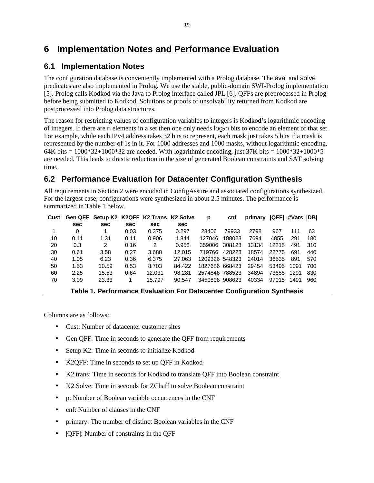# **6 Implementation Notes and Performance Evaluation**

### **6.1 Implementation Notes**

The configuration database is conveniently implemented with a Prolog database. The eval and solve predicates are also implemented in Prolog. We use the stable, public-domain SWI-Prolog implementation [5]. Prolog calls Kodkod via the Java to Prolog interface called JPL [6]. QFFs are preprocessed in Prolog before being submitted to Kodkod. Solutions or proofs of unsolvability returned from Kodkod are postprocessed into Prolog data structures.

The reason for restricting values of configuration variables to integers is Kodkod's logarithmic encoding of integers. If there are n elements in a set then one only needs  $log_2 n$  bits to encode an element of that set. For example, while each IPv4 address takes 32 bits to represent, each mask just takes 5 bits if a mask is represented by the number of 1s in it. For 1000 addresses and 1000 masks, without logarithmic encoding, 64K bits =  $1000*32+1000*32$  are needed. With logarithmic encoding, just 37K bits =  $1000*32+1000*5$ are needed. This leads to drastic reduction in the size of generated Boolean constraints and SAT solving time.

## **6.2 Performance Evaluation for Datacenter Configuration Synthesis**

All requirements in Section 2 were encoded in ConfigAssure and associated configurations synthesized. For the largest case, configurations were synthesized in about 2.5 minutes. The performance is summarized in Table 1 below.

| Cust |            | Gen QFF Setup K2 K2QFF K2 Trans K2 Solve |            |        |        | p              | cnf    | primary |       | <b>QFFI #Vars DBI</b> |     |
|------|------------|------------------------------------------|------------|--------|--------|----------------|--------|---------|-------|-----------------------|-----|
|      | <b>sec</b> | <b>sec</b>                               | <b>sec</b> | sec    | sec    |                |        |         |       |                       |     |
| 1    | 0          | 1                                        | 0.03       | 0.375  | 0.297  | 28406          | 79933  | 2798    | 967   | 111                   | 63  |
| 10   | 0.11       | 1.31                                     | 0.11       | 0.906  | 1.844  | 127046         | 188023 | 7694    | 4855  | 291                   | 180 |
| 20   | 0.3        | 2                                        | 0.16       | 2      | 0.953  | 359006         | 308123 | 13134   | 12215 | 491                   | 310 |
| 30   | 0.61       | 3.58                                     | 0.27       | 3.688  | 12.015 | 719766         | 428223 | 18574   | 22775 | 691                   | 440 |
| 40   | 1.05       | 6.23                                     | 0.36       | 6.375  | 27.063 | 1209326 548323 |        | 24014   | 36535 | 891                   | 570 |
| 50   | 1.53       | 10.59                                    | 0.53       | 8.703  | 84.422 | 1827686 668423 |        | 29454   | 53495 | 1091                  | 700 |
| 60   | 2.25       | 15.53                                    | 0.64       | 12.031 | 98.281 | 2574846 788523 |        | 34894   | 73655 | 1291                  | 830 |
| 70   | 3.09       | 23.33                                    |            | 15.797 | 90.547 | 3450806 908623 |        | 40334   | 97015 | 1491                  | 960 |
|      |            |                                          |            |        |        |                |        |         |       |                       |     |

**Table 1. Performance Evaluation For Datacenter Configuration Synthesis** 

Columns are as follows:

- Cust: Number of datacenter customer sites
- Gen QFF: Time in seconds to generate the QFF from requirements
- Setup K2: Time in seconds to initialize Kodkod
- K2QFF: Time in seconds to set up QFF in Kodkod
- K2 trans: Time in seconds for Kodkod to translate QFF into Boolean constraint
- K2 Solve: Time in seconds for ZChaff to solve Boolean constraint
- p: Number of Boolean variable occurrences in the CNF
- cnf: Number of clauses in the CNF
- primary: The number of distinct Boolean variables in the CNF
- |QFF|: Number of constraints in the QFF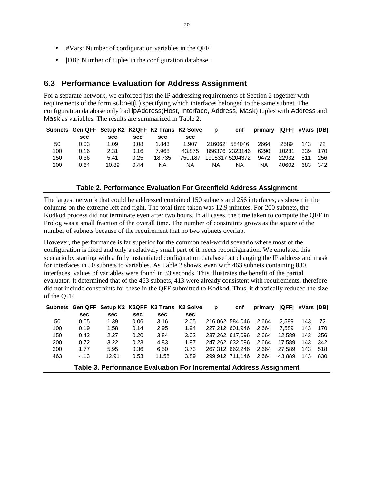- #Vars: Number of configuration variables in the QFF
- |DB|: Number of tuples in the configuration database.

#### **6.3 Performance Evaluation for Address Assignment**

For a separate network, we enforced just the IP addressing requirements of Section 2 together with requirements of the form subnet(L) specifying which interfaces belonged to the same subnet. The configuration database only had ipAddress(Host, Interface, Address, Mask) tuples with Address and Mask as variables. The results are summarized in Table 2.

|     |            | Subnets Gen QFF Setup K2 K2QFF K2 Trans K2 Solve |      |        |         | $\Box$    | cnf             | primary  QFF  #Vars  DB |       |     |      |
|-----|------------|--------------------------------------------------|------|--------|---------|-----------|-----------------|-------------------------|-------|-----|------|
|     | <b>sec</b> | sec                                              | sec  | sec    | sec     |           |                 |                         |       |     |      |
| 50  | 0.03       | 1.09                                             | 0.08 | 1.843  | 1.907   |           | 216062 584046   | 2664                    | 2589  | 143 | - 72 |
| 100 | 0.16       | 2.31                                             | 0.16 | 7.968  | 43.875  |           | 856376 2323146  | 6290                    | 10281 | 339 | 170  |
| 150 | 0.36       | 5.41                                             | 0.25 | 18.735 | 750.187 |           | 1915317 5204372 | 9472                    | 22932 | 511 | 256  |
| 200 | 0.64       | 10.89                                            | 0.44 | NA     | NA      | <b>NA</b> | NA.             | NA.                     | 40602 | 683 | -342 |

#### **Table 2. Performance Evaluation For Greenfield Address Assignment**

The largest network that could be addressed contained 150 subnets and 256 interfaces, as shown in the columns on the extreme left and right. The total time taken was 12.9 minutes. For 200 subnets, the Kodkod process did not terminate even after two hours. In all cases, the time taken to compute the QFF in Prolog was a small fraction of the overall time. The number of constraints grows as the square of the number of subnets because of the requirement that no two subnets overlap.

However, the performance is far superior for the common real-world scenario where most of the configuration is fixed and only a relatively small part of it needs reconfiguration. We emulated this scenario by starting with a fully instantiated configuration database but changing the IP address and mask for interfaces in 50 subnets to variables. As Table 2 shows, even with 463 subnets containing 830 interfaces, values of variables were found in 33 seconds. This illustrates the benefit of the partial evaluator. It determined that of the 463 subnets, 413 were already consistent with requirements, therefore did not include constraints for these in the QFF submitted to Kodkod. Thus, it drastically reduced the size of the QFF.

|                                                                    |            | Subnets Gen QFF Setup K2 K2QFF K2 Trans K2 Solve |      |       |      | D | cnf             | primary | <b>IQFFI</b> | #Vars  DB |     |
|--------------------------------------------------------------------|------------|--------------------------------------------------|------|-------|------|---|-----------------|---------|--------------|-----------|-----|
|                                                                    | <b>sec</b> | <b>sec</b>                                       | sec  | sec   | sec  |   |                 |         |              |           |     |
| 50                                                                 | 0.05       | 1.39                                             | 0.06 | 3.16  | 2.05 |   | 216.062 584.046 | 2.664   | 2.589        | 143       | 72  |
| 100                                                                | 0.19       | 1.58                                             | 0.14 | 2.95  | 1.94 |   | 227.212 601.946 | 2.664   | 7.589        | 143       | 170 |
| 150                                                                | 0.42       | 2.27                                             | 0.20 | 3.84  | 3.02 |   | 237.262 617.096 | 2.664   | 12.589       | 143       | 256 |
| 200                                                                | 0.72       | 3.22                                             | 0.23 | 4.83  | 1.97 |   | 247.262 632.096 | 2.664   | 17.589       | 143       | 342 |
| 300                                                                | 1.77       | 5.95                                             | 0.36 | 6.50  | 3.73 |   | 267.312 662.246 | 2.664   | 27.589       | 143       | 518 |
| 463                                                                | 4.13       | 12.91                                            | 0.53 | 11.58 | 3.89 |   | 299.912 711.146 | 2.664   | 43.889       | 143       | 830 |
| Table 3. Performance Evaluation For Incremental Address Assignment |            |                                                  |      |       |      |   |                 |         |              |           |     |
|                                                                    |            |                                                  |      |       |      |   |                 |         |              |           |     |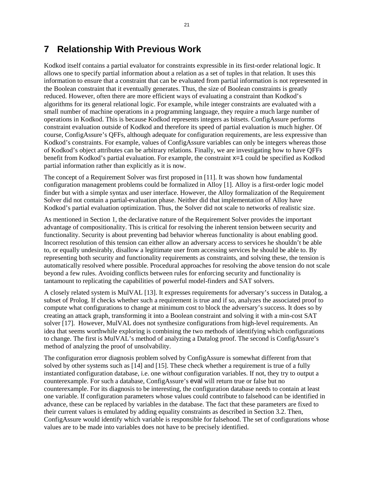### **7 Relationship With Previous Work**

Kodkod itself contains a partial evaluator for constraints expressible in its first-order relational logic. It allows one to specify partial information about a relation as a set of tuples in that relation. It uses this information to ensure that a constraint that can be evaluated from partial information is not represented in the Boolean constraint that it eventually generates. Thus, the size of Boolean constraints is greatly reduced. However, often there are more efficient ways of evaluating a constraint than Kodkod's algorithms for its general relational logic. For example, while integer constraints are evaluated with a small number of machine operations in a programming language, they require a much large number of operations in Kodkod. This is because Kodkod represents integers as bitsets. ConfigAssure performs constraint evaluation outside of Kodkod and therefore its speed of partial evaluation is much higher. Of course, ConfigAssure's QFFs, although adequate for configuration requirements, are less expressive than Kodkod's constraints. For example, values of ConfigAssure variables can only be integers whereas those of Kodkod's object attributes can be arbitrary relations. Finally, we are investigating how to have QFFs benefit from Kodkod's partial evaluation. For example, the constraint x=1 could be specified as Kodkod partial information rather than explicitly as it is now.

The concept of a Requirement Solver was first proposed in [11]. It was shown how fundamental configuration management problems could be formalized in Alloy [1]. Alloy is a first-order logic model finder but with a simple syntax and user interface. However, the Alloy formalization of the Requirement Solver did not contain a partial-evaluation phase. Neither did that implementation of Alloy have Kodkod's partial evaluation optimization. Thus, the Solver did not scale to networks of realistic size.

As mentioned in Section 1, the declarative nature of the Requirement Solver provides the important advantage of compositionality. This is critical for resolving the inherent tension between security and functionality. Security is about preventing bad behavior whereas functionality is about enabling good. Incorrect resolution of this tension can either allow an adversary access to services he shouldn't be able to, or equally undesirably, disallow a legitimate user from accessing services he should be able to. By representing both security and functionality requirements as constraints, and solving these, the tension is automatically resolved where possible. Procedural approaches for resolving the above tension do not scale beyond a few rules. Avoiding conflicts between rules for enforcing security and functionality is tantamount to replicating the capabilities of powerful model-finders and SAT solvers.

A closely related system is MulVAL [13]. It expresses requirements for adversary's success in Datalog, a subset of Prolog. If checks whether such a requirement is true and if so, analyzes the associated proof to compute what configurations to change at minimum cost to block the adversary's success. It does so by creating an attack graph, transforming it into a Boolean constraint and solving it with a min-cost SAT solver [17]. However, MulVAL does not synthesize configurations from high-level requirements. An idea that seems worthwhile exploring is combining the two methods of identifying which configurations to change. The first is MulVAL's method of analyzing a Datalog proof. The second is ConfigAssure's method of analyzing the proof of unsolvability.

The configuration error diagnosis problem solved by ConfigAssure is somewhat different from that solved by other systems such as [14] and [15]. These check whether a requirement is true of a fully instantiated configuration database, i.e. one *without* configuration variables. If not, they try to output a counterexample. For such a database, ConfigAssure's eval will return true or false but no counterexample. For its diagnosis to be interesting, the configuration database needs to contain at least one variable. If configuration parameters whose values could contribute to falsehood can be identified in advance, these can be replaced by variables in the database. The fact that these parameters are fixed to their current values is emulated by adding equality constraints as described in Section 3.2. Then, ConfigAssure would identify which variable is responsible for falsehood. The set of configurations whose values are to be made into variables does not have to be precisely identified.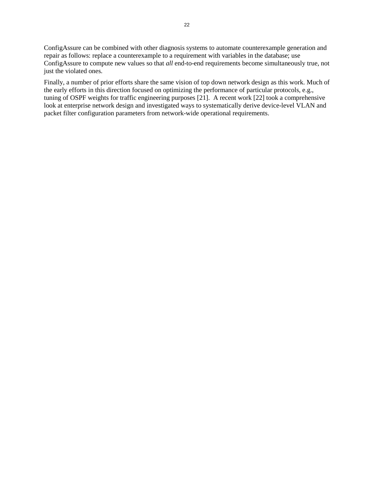ConfigAssure can be combined with other diagnosis systems to automate counterexample generation and repair as follows: replace a counterexample to a requirement with variables in the database; use ConfigAssure to compute new values so that *all* end-to-end requirements become simultaneously true, not just the violated ones.

Finally, a number of prior efforts share the same vision of top down network design as this work. Much of the early efforts in this direction focused on optimizing the performance of particular protocols, e.g., tuning of OSPF weights for traffic engineering purposes [21]. A recent work [22] took a comprehensive look at enterprise network design and investigated ways to systematically derive device-level VLAN and packet filter configuration parameters from network-wide operational requirements.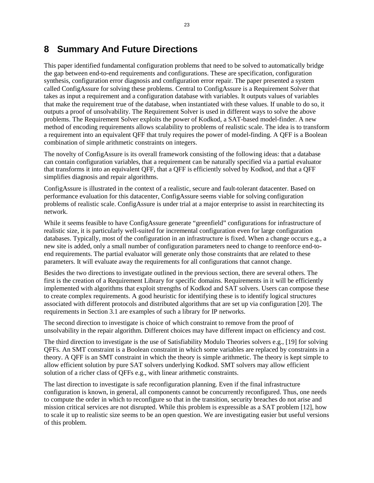# **8 Summary And Future Directions**

This paper identified fundamental configuration problems that need to be solved to automatically bridge the gap between end-to-end requirements and configurations. These are specification, configuration synthesis, configuration error diagnosis and configuration error repair. The paper presented a system called ConfigAssure for solving these problems. Central to ConfigAssure is a Requirement Solver that takes as input a requirement and a configuration database with variables. It outputs values of variables that make the requirement true of the database, when instantiated with these values. If unable to do so, it outputs a proof of unsolvability. The Requirement Solver is used in different ways to solve the above problems. The Requirement Solver exploits the power of Kodkod, a SAT-based model-finder. A new method of encoding requirements allows scalability to problems of realistic scale. The idea is to transform a requirement into an equivalent QFF that truly requires the power of model-finding. A QFF is a Boolean combination of simple arithmetic constraints on integers.

The novelty of ConfigAssure is its overall framework consisting of the following ideas: that a database can contain configuration variables, that a requirement can be naturally specified via a partial evaluator that transforms it into an equivalent QFF, that a QFF is efficiently solved by Kodkod, and that a QFF simplifies diagnosis and repair algorithms.

ConfigAssure is illustrated in the context of a realistic, secure and fault-tolerant datacenter. Based on performance evaluation for this datacenter, ConfigAssure seems viable for solving configuration problems of realistic scale. ConfigAssure is under trial at a major enterprise to assist in rearchitecting its network.

While it seems feasible to have ConfigAssure generate "greenfield" configurations for infrastructure of realistic size, it is particularly well-suited for incremental configuration even for large configuration databases. Typically, most of the configuration in an infrastructure is fixed. When a change occurs e.g., a new site is added, only a small number of configuration parameters need to change to reenforce end-toend requirements. The partial evaluator will generate only those constraints that are related to these parameters. It will evaluate away the requirements for all configurations that cannot change.

Besides the two directions to investigate outlined in the previous section, there are several others. The first is the creation of a Requirement Library for specific domains. Requirements in it will be efficiently implemented with algorithms that exploit strengths of Kodkod and SAT solvers. Users can compose these to create complex requirements. A good heuristic for identifying these is to identify logical structures associated with different protocols and distributed algorithms that are set up via configuration [20]. The requirements in Section 3.1 are examples of such a library for IP networks.

The second direction to investigate is choice of which constraint to remove from the proof of unsolvability in the repair algorithm. Different choices may have different impact on efficiency and cost.

The third direction to investigate is the use of Satisfiability Modulo Theories solvers e.g., [19] for solving QFFs. An SMT constraint is a Boolean constraint in which some variables are replaced by constraints in a theory. A QFF is an SMT constraint in which the theory is simple arithmetic. The theory is kept simple to allow efficient solution by pure SAT solvers underlying Kodkod. SMT solvers may allow efficient solution of a richer class of QFFs e.g., with linear arithmetic constraints.

The last direction to investigate is safe reconfiguration planning. Even if the final infrastructure configuration is known, in general, all components cannot be concurrently reconfigured. Thus, one needs to compute the order in which to reconfigure so that in the transition, security breaches do not arise and mission critical services are not disrupted. While this problem is expressible as a SAT problem [12], how to scale it up to realistic size seems to be an open question. We are investigating easier but useful versions of this problem.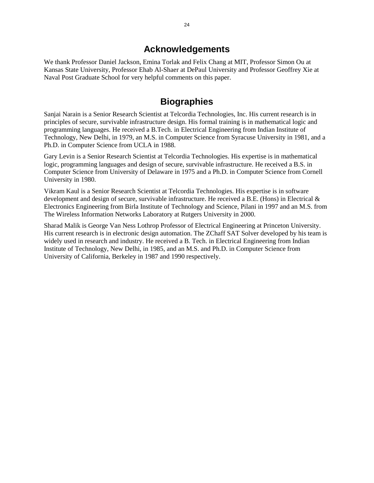# **Acknowledgements**

We thank Professor Daniel Jackson, Emina Torlak and Felix Chang at MIT, Professor Simon Ou at Kansas State University, Professor Ehab Al-Shaer at DePaul University and Professor Geoffrey Xie at Naval Post Graduate School for very helpful comments on this paper.

# **Biographies**

Sanjai Narain is a Senior Research Scientist at Telcordia Technologies, Inc. His current research is in principles of secure, survivable infrastructure design. His formal training is in mathematical logic and programming languages. He received a B.Tech. in Electrical Engineering from Indian Institute of Technology, New Delhi, in 1979, an M.S. in Computer Science from Syracuse University in 1981, and a Ph.D. in Computer Science from UCLA in 1988.

Gary Levin is a Senior Research Scientist at Telcordia Technologies. His expertise is in mathematical logic, programming languages and design of secure, survivable infrastructure. He received a B.S. in Computer Science from University of Delaware in 1975 and a Ph.D. in Computer Science from Cornell University in 1980.

Vikram Kaul is a Senior Research Scientist at Telcordia Technologies. His expertise is in software development and design of secure, survivable infrastructure. He received a B.E. (Hons) in Electrical & Electronics Engineering from Birla Institute of Technology and Science, Pilani in 1997 and an M.S. from The Wireless Information Networks Laboratory at Rutgers University in 2000.

Sharad Malik is George Van Ness Lothrop Professor of Electrical Engineering at Princeton University. His current research is in electronic design automation. The ZChaff SAT Solver developed by his team is widely used in research and industry. He received a B. Tech. in Electrical Engineering from Indian Institute of Technology, New Delhi, in 1985, and an M.S. and Ph.D. in Computer Science from University of California, Berkeley in 1987 and 1990 respectively.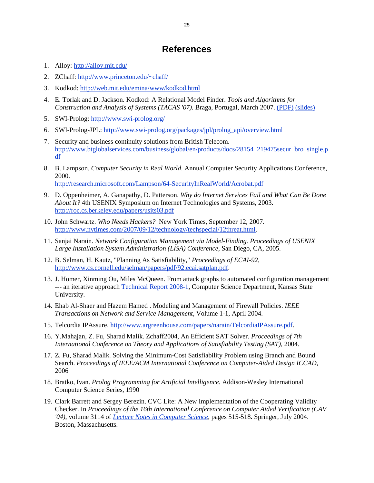## **References**

- 1. Alloy: http://alloy.mit.edu/
- 2. ZChaff: http://www.princeton.edu/~chaff/
- 3. Kodkod: http://web.mit.edu/emina/www/kodkod.html
- 4. E. Torlak and D. Jackson. Kodkod: A Relational Model Finder. *Tools and Algorithms for Construction and Analysis of Systems (TACAS '07).* Braga, Portugal, March 2007. (PDF) (slides)
- 5. SWI-Prolog: http://www.swi-prolog.org/
- 6. SWI-Prolog-JPL: http://www.swi-prolog.org/packages/jpl/prolog\_api/overview.html
- 7. Security and business continuity solutions from British Telecom. http://www.btglobalservices.com/business/global/en/products/docs/28154\_219475secur\_bro\_single.p df
- 8. B. Lampson. *Computer Security in Real World*. Annual Computer Security Applications Conference, 2000.

http://research.microsoft.com/Lampson/64-SecurityInRealWorld/Acrobat.pdf

- 9. D. Oppenheimer, A. Ganapathy, D. Patterson. *Why do Internet Services Fail and What Can Be Done About It?* 4th USENIX Symposium on Internet Technologies and Systems, 2003. http://roc.cs.berkeley.edu/papers/usits03.pdf
- 10. John Schwartz. *Who Needs Hackers?* New York Times, September 12, 2007. http://www.nytimes.com/2007/09/12/technology/techspecial/12threat.html.
- 11. Sanjai Narain. *Network Configuration Management via Model-Finding. Proceedings of USENIX Large Installation System Administration (LISA) Conference*, San Diego, CA, 2005.
- 12. B. Selman, H. Kautz, "Planning As Satisfiability," *Proceedings of ECAI-92*, http://www.cs.cornell.edu/selman/papers/pdf/92.ecai.satplan.pdf.
- 13. J. Homer, Xinming Ou, Miles McQueen. From attack graphs to automated configuration management --- an iterative approach Technical Report 2008-1, Computer Science Department, Kansas State University.
- 14. Ehab Al-Shaer and Hazem Hamed . Modeling and Management of Firewall Policies. *IEEE Transactions on Network and Service Management*, Volume 1-1, April 2004.
- 15. Telcordia IPAssure. http://www.argreenhouse.com/papers/narain/TelcordiaIPAssure.pdf.
- 16. Y.Mahajan, Z. Fu, Sharad Malik. Zchaff2004, An Efficient SAT Solver*. Proceedings of 7th International Conference on Theory and Applications of Satisfiability Testing (SAT),* 2004.
- 17. Z. Fu, Sharad Malik. Solving the Minimum-Cost Satisfiability Problem using Branch and Bound Search. *Proceedings of IEEE/ACM International Conference on Computer-Aided Design ICCAD*, 2006
- 18. Bratko, Ivan. *Prolog Programming for Artificial Intelligence.* Addison-Wesley International Computer Science Series, 1990
- 19. Clark Barrett and Sergey Berezin. CVC Lite: A New Implementation of the Cooperating Validity Checker. In *Proceedings of the 16th International Conference on Computer Aided Verification (CAV '04)*, volume 3114 of *Lecture Notes in Computer Science*, pages 515-518. Springer, July 2004. Boston, Massachusetts.